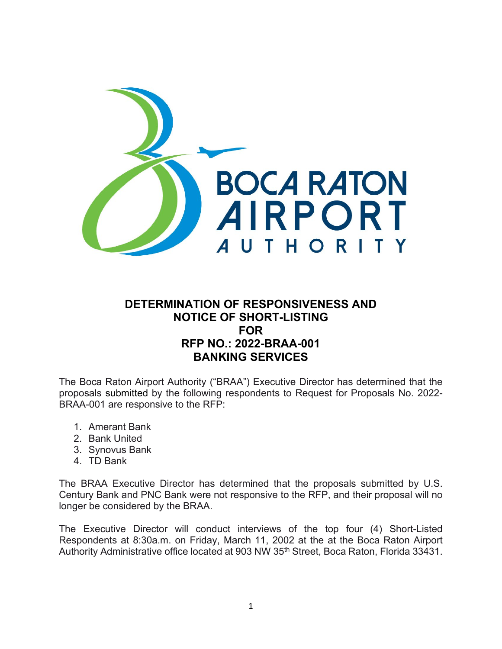

## **DETERMINATION OF RESPONSIVENESS AND NOTICE OF SHORT-LISTING FOR RFP NO.: 2022-BRAA-001 BANKING SERVICES**

The Boca Raton Airport Authority ("BRAA") Executive Director has determined that the proposals submitted by the following respondents to Request for Proposals No. 2022- BRAA-001 are responsive to the RFP:

- 1. Amerant Bank
- 2. Bank United
- 3. Synovus Bank
- 4. TD Bank

The BRAA Executive Director has determined that the proposals submitted by U.S. Century Bank and PNC Bank were not responsive to the RFP, and their proposal will no longer be considered by the BRAA.

The Executive Director will conduct interviews of the top four (4) Short-Listed Respondents at 8:30a.m. on Friday, March 11, 2002 at the at the Boca Raton Airport Authority Administrative office located at 903 NW 35<sup>th</sup> Street, Boca Raton, Florida 33431.